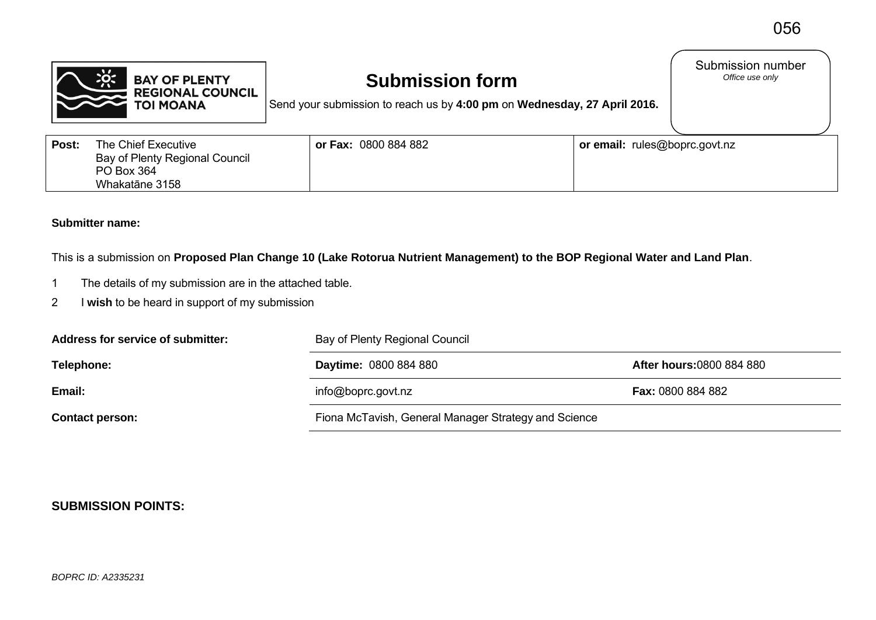Submission number<br>Office use only



## **Submission form**

Send your submission to reach us by **4:00 pm** on **Wednesday, 27 April 2016.**

| Post: | The Chief Executive                   | or Fax: 0800 884 882 | or email: rules@boprc.govt.nz |
|-------|---------------------------------------|----------------------|-------------------------------|
|       | <b>Bay of Plenty Regional Council</b> |                      |                               |
|       | PO Box 364                            |                      |                               |
|       | Whakatāne 3158                        |                      |                               |

## **Submitter name:**

This is a submission on **Proposed Plan Change 10 (Lake Rotorua Nutrient Management) to the BOP Regional Water and Land Plan**.

- 1 The details of my submission are in the attached table.
- 2 I **wish** to be heard in support of my submission

| Address for service of submitter: | Bay of Plenty Regional Council                       |                                 |  |
|-----------------------------------|------------------------------------------------------|---------------------------------|--|
| Telephone:                        | <b>Daytime: 0800 884 880</b>                         | <b>After hours:0800 884 880</b> |  |
| Email:                            | info@boprc.govt.nz                                   | <b>Fax: 0800 884 882</b>        |  |
| <b>Contact person:</b>            | Fiona McTavish, General Manager Strategy and Science |                                 |  |

## **SUBMISSION POINTS:**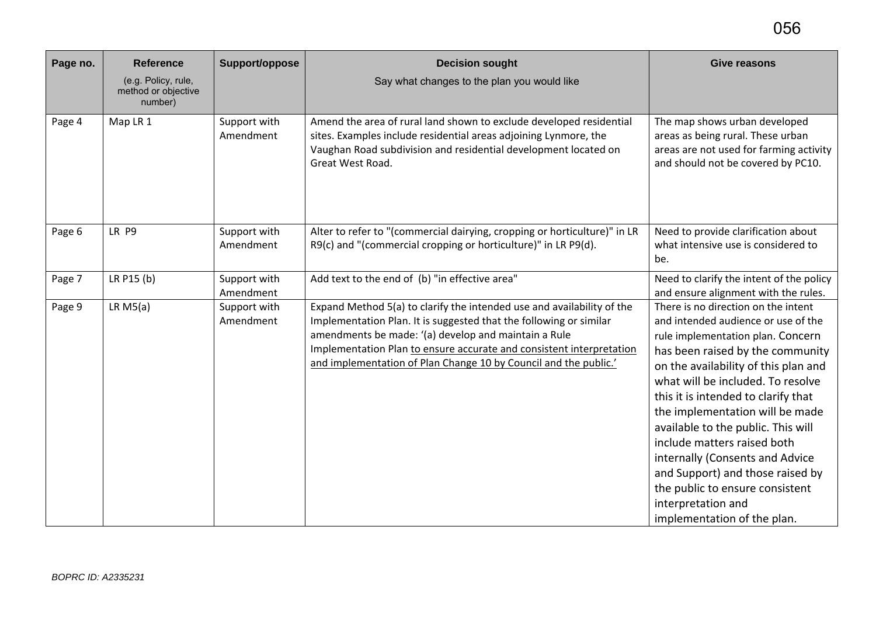| Page no. | <b>Reference</b>                                      | Support/oppose            | <b>Decision sought</b>                                                                                                                                                                                                                                                                                                                           | <b>Give reasons</b>                                                                                                                                                                                                                                                                                                                                                                                                                                                                                                                            |
|----------|-------------------------------------------------------|---------------------------|--------------------------------------------------------------------------------------------------------------------------------------------------------------------------------------------------------------------------------------------------------------------------------------------------------------------------------------------------|------------------------------------------------------------------------------------------------------------------------------------------------------------------------------------------------------------------------------------------------------------------------------------------------------------------------------------------------------------------------------------------------------------------------------------------------------------------------------------------------------------------------------------------------|
|          | (e.g. Policy, rule,<br>method or objective<br>number) |                           | Say what changes to the plan you would like                                                                                                                                                                                                                                                                                                      |                                                                                                                                                                                                                                                                                                                                                                                                                                                                                                                                                |
| Page 4   | Map LR 1                                              | Support with<br>Amendment | Amend the area of rural land shown to exclude developed residential<br>sites. Examples include residential areas adjoining Lynmore, the<br>Vaughan Road subdivision and residential development located on<br>Great West Road.                                                                                                                   | The map shows urban developed<br>areas as being rural. These urban<br>areas are not used for farming activity<br>and should not be covered by PC10.                                                                                                                                                                                                                                                                                                                                                                                            |
| Page 6   | LR P9                                                 | Support with<br>Amendment | Alter to refer to "(commercial dairying, cropping or horticulture)" in LR<br>R9(c) and "(commercial cropping or horticulture)" in LR P9(d).                                                                                                                                                                                                      | Need to provide clarification about<br>what intensive use is considered to<br>be.                                                                                                                                                                                                                                                                                                                                                                                                                                                              |
| Page 7   | LR P15 (b)                                            | Support with<br>Amendment | Add text to the end of (b) "in effective area"                                                                                                                                                                                                                                                                                                   | Need to clarify the intent of the policy<br>and ensure alignment with the rules.                                                                                                                                                                                                                                                                                                                                                                                                                                                               |
| Page 9   | LR M5(a)                                              | Support with<br>Amendment | Expand Method 5(a) to clarify the intended use and availability of the<br>Implementation Plan. It is suggested that the following or similar<br>amendments be made: '(a) develop and maintain a Rule<br>Implementation Plan to ensure accurate and consistent interpretation<br>and implementation of Plan Change 10 by Council and the public.' | There is no direction on the intent<br>and intended audience or use of the<br>rule implementation plan. Concern<br>has been raised by the community<br>on the availability of this plan and<br>what will be included. To resolve<br>this it is intended to clarify that<br>the implementation will be made<br>available to the public. This will<br>include matters raised both<br>internally (Consents and Advice<br>and Support) and those raised by<br>the public to ensure consistent<br>interpretation and<br>implementation of the plan. |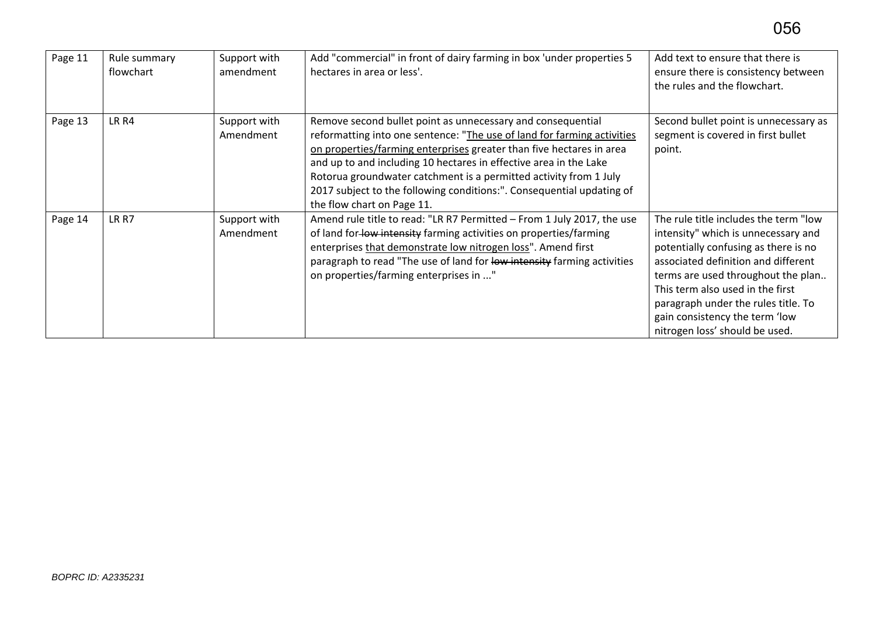| Page 11 | Rule summary<br>flowchart | Support with<br>amendment | Add "commercial" in front of dairy farming in box 'under properties 5<br>hectares in area or less'.                                                                                                                                                                                                                                                                                                                                                             | Add text to ensure that there is<br>ensure there is consistency between<br>the rules and the flowchart.                                                                                                                                                                                                                                          |
|---------|---------------------------|---------------------------|-----------------------------------------------------------------------------------------------------------------------------------------------------------------------------------------------------------------------------------------------------------------------------------------------------------------------------------------------------------------------------------------------------------------------------------------------------------------|--------------------------------------------------------------------------------------------------------------------------------------------------------------------------------------------------------------------------------------------------------------------------------------------------------------------------------------------------|
| Page 13 | LR <sub>R4</sub>          | Support with<br>Amendment | Remove second bullet point as unnecessary and consequential<br>reformatting into one sentence: "The use of land for farming activities<br>on properties/farming enterprises greater than five hectares in area<br>and up to and including 10 hectares in effective area in the Lake<br>Rotorua groundwater catchment is a permitted activity from 1 July<br>2017 subject to the following conditions:". Consequential updating of<br>the flow chart on Page 11. | Second bullet point is unnecessary as<br>segment is covered in first bullet<br>point.                                                                                                                                                                                                                                                            |
| Page 14 | LR R7                     | Support with<br>Amendment | Amend rule title to read: "LR R7 Permitted - From 1 July 2017, the use<br>of land for low intensity farming activities on properties/farming<br>enterprises that demonstrate low nitrogen loss". Amend first<br>paragraph to read "The use of land for low intensity farming activities<br>on properties/farming enterprises in "                                                                                                                               | The rule title includes the term "low<br>intensity" which is unnecessary and<br>potentially confusing as there is no<br>associated definition and different<br>terms are used throughout the plan<br>This term also used in the first<br>paragraph under the rules title. To<br>gain consistency the term 'low<br>nitrogen loss' should be used. |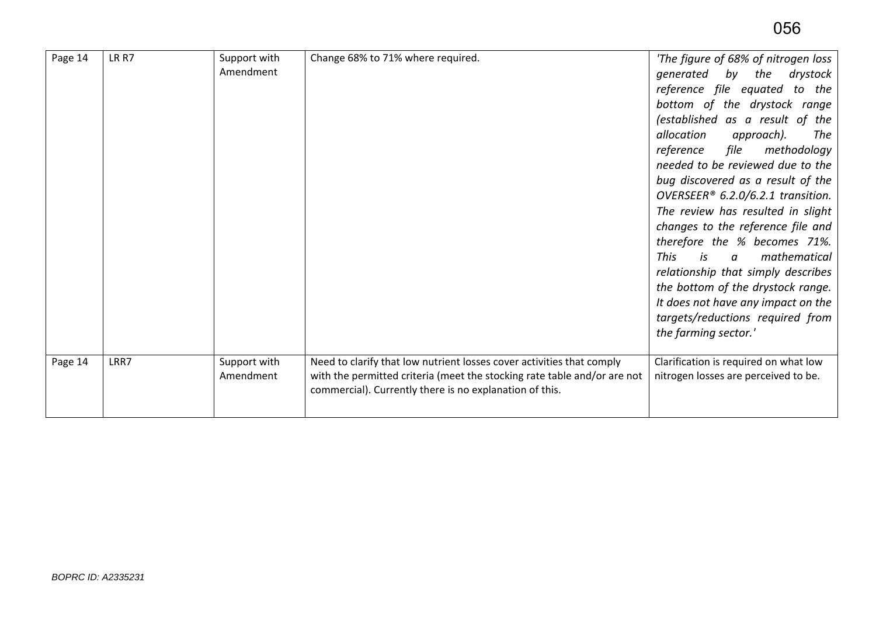| Page 14 | LR R7 | Support with<br>Amendment | Change 68% to 71% where required.                                                                                                                                                                            | 'The figure of 68% of nitrogen loss<br>generated by the<br>drystock<br>reference file equated to the<br>bottom of the drystock range<br>(established as a result of the<br>allocation<br>approach).<br>The<br>methodology<br>reference file<br>needed to be reviewed due to the<br>bug discovered as a result of the<br>OVERSEER <sup>®</sup> 6.2.0/6.2.1 transition.<br>The review has resulted in slight<br>changes to the reference file and<br>therefore the % becomes 71%.<br>This<br>is<br>mathematical<br>$\boldsymbol{a}$<br>relationship that simply describes<br>the bottom of the drystock range.<br>It does not have any impact on the<br>targets/reductions required from<br>the farming sector.' |
|---------|-------|---------------------------|--------------------------------------------------------------------------------------------------------------------------------------------------------------------------------------------------------------|----------------------------------------------------------------------------------------------------------------------------------------------------------------------------------------------------------------------------------------------------------------------------------------------------------------------------------------------------------------------------------------------------------------------------------------------------------------------------------------------------------------------------------------------------------------------------------------------------------------------------------------------------------------------------------------------------------------|
| Page 14 | LRR7  | Support with<br>Amendment | Need to clarify that low nutrient losses cover activities that comply<br>with the permitted criteria (meet the stocking rate table and/or are not<br>commercial). Currently there is no explanation of this. | Clarification is required on what low<br>nitrogen losses are perceived to be.                                                                                                                                                                                                                                                                                                                                                                                                                                                                                                                                                                                                                                  |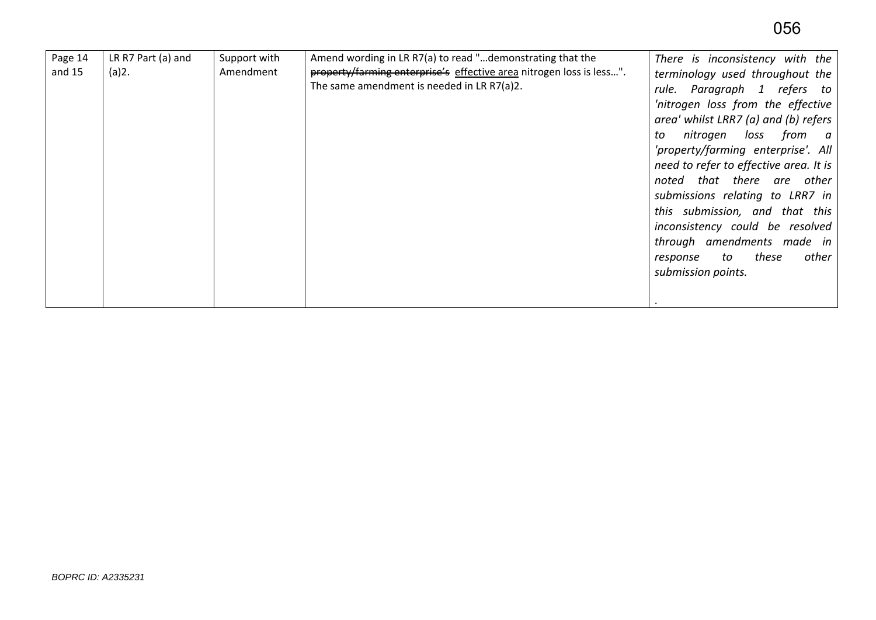| Page 14<br>and 15 | LR R7 Part (a) and<br>(a)2. | Support with<br>Amendment | Amend wording in LR R7(a) to read "demonstrating that the<br>property/farming enterprise's effective area nitrogen loss is less".<br>The same amendment is needed in LR R7(a)2. | There is inconsistency with the<br>terminology used throughout the<br>rule. Paragraph 1 refers to<br>'nitrogen loss from the effective<br>area' whilst LRR7 (a) and (b) refers<br>nitrogen<br>from a<br>loss<br>to<br>'property/farming enterprise'. All<br>need to refer to effective area. It is<br>noted that there are other<br>submissions relating to LRR7 in<br>this submission, and that this<br>inconsistency could be resolved<br>through amendments made in<br>other<br>these<br>to<br>response<br>submission points. |
|-------------------|-----------------------------|---------------------------|---------------------------------------------------------------------------------------------------------------------------------------------------------------------------------|----------------------------------------------------------------------------------------------------------------------------------------------------------------------------------------------------------------------------------------------------------------------------------------------------------------------------------------------------------------------------------------------------------------------------------------------------------------------------------------------------------------------------------|
|-------------------|-----------------------------|---------------------------|---------------------------------------------------------------------------------------------------------------------------------------------------------------------------------|----------------------------------------------------------------------------------------------------------------------------------------------------------------------------------------------------------------------------------------------------------------------------------------------------------------------------------------------------------------------------------------------------------------------------------------------------------------------------------------------------------------------------------|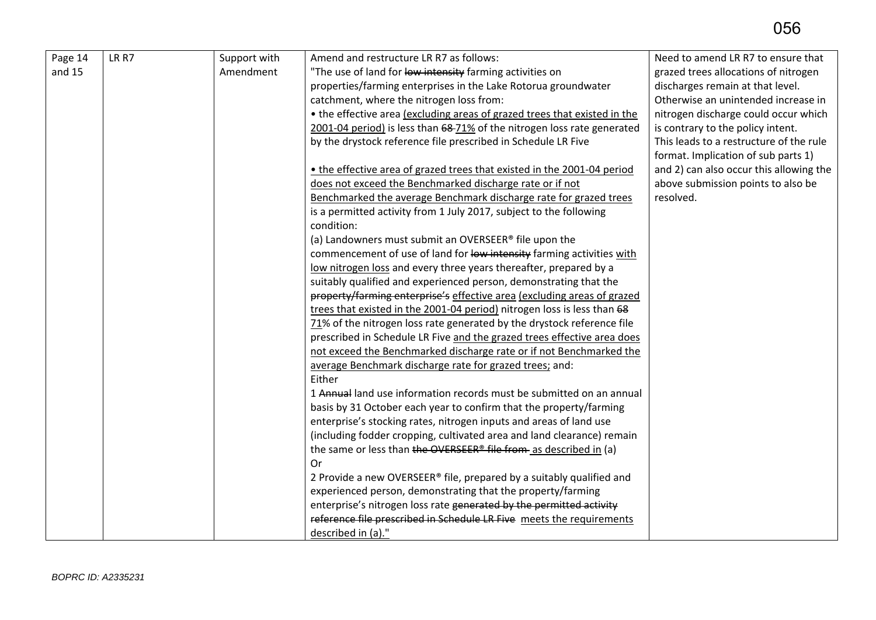| Page 14 | LR R7 | Support with | Amend and restructure LR R7 as follows:                                       | Need to amend LR R7 to ensure that      |
|---------|-------|--------------|-------------------------------------------------------------------------------|-----------------------------------------|
| and 15  |       | Amendment    | "The use of land for low intensity farming activities on                      | grazed trees allocations of nitrogen    |
|         |       |              | properties/farming enterprises in the Lake Rotorua groundwater                | discharges remain at that level.        |
|         |       |              | catchment, where the nitrogen loss from:                                      | Otherwise an unintended increase in     |
|         |       |              | • the effective area (excluding areas of grazed trees that existed in the     | nitrogen discharge could occur which    |
|         |       |              | 2001-04 period) is less than 68-71% of the nitrogen loss rate generated       | is contrary to the policy intent.       |
|         |       |              | by the drystock reference file prescribed in Schedule LR Five                 | This leads to a restructure of the rule |
|         |       |              |                                                                               | format. Implication of sub parts 1)     |
|         |       |              | • the effective area of grazed trees that existed in the 2001-04 period       | and 2) can also occur this allowing the |
|         |       |              | does not exceed the Benchmarked discharge rate or if not                      | above submission points to also be      |
|         |       |              | Benchmarked the average Benchmark discharge rate for grazed trees             | resolved.                               |
|         |       |              | is a permitted activity from 1 July 2017, subject to the following            |                                         |
|         |       |              | condition:                                                                    |                                         |
|         |       |              | (a) Landowners must submit an OVERSEER® file upon the                         |                                         |
|         |       |              | commencement of use of land for low intensity farming activities with         |                                         |
|         |       |              | low nitrogen loss and every three years thereafter, prepared by a             |                                         |
|         |       |              | suitably qualified and experienced person, demonstrating that the             |                                         |
|         |       |              | property/farming enterprise's effective area (excluding areas of grazed       |                                         |
|         |       |              | trees that existed in the 2001-04 period) nitrogen loss is less than 68       |                                         |
|         |       |              | 71% of the nitrogen loss rate generated by the drystock reference file        |                                         |
|         |       |              | prescribed in Schedule LR Five and the grazed trees effective area does       |                                         |
|         |       |              | not exceed the Benchmarked discharge rate or if not Benchmarked the           |                                         |
|         |       |              | average Benchmark discharge rate for grazed trees; and:                       |                                         |
|         |       |              | Either                                                                        |                                         |
|         |       |              | 1 Annual land use information records must be submitted on an annual          |                                         |
|         |       |              | basis by 31 October each year to confirm that the property/farming            |                                         |
|         |       |              | enterprise's stocking rates, nitrogen inputs and areas of land use            |                                         |
|         |       |              | (including fodder cropping, cultivated area and land clearance) remain        |                                         |
|         |       |              | the same or less than the OVERSEER <sup>®</sup> file from as described in (a) |                                         |
|         |       |              | Or                                                                            |                                         |
|         |       |              | 2 Provide a new OVERSEER® file, prepared by a suitably qualified and          |                                         |
|         |       |              | experienced person, demonstrating that the property/farming                   |                                         |
|         |       |              | enterprise's nitrogen loss rate generated by the permitted activity           |                                         |
|         |       |              | reference file prescribed in Schedule LR Five meets the requirements          |                                         |
|         |       |              | described in (a)."                                                            |                                         |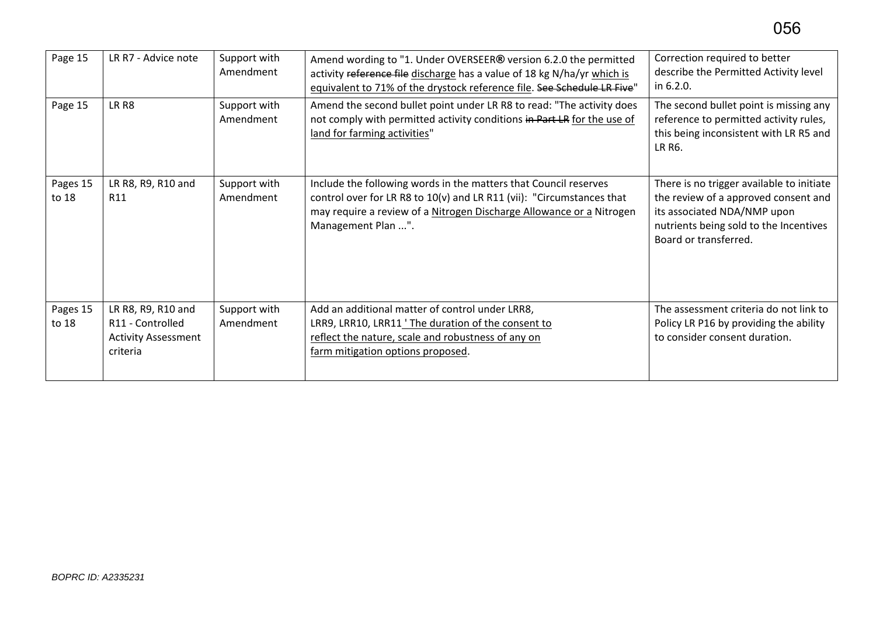| Page 15           | LR R7 - Advice note                                                              | Support with<br>Amendment | Amend wording to "1. Under OVERSEER® version 6.2.0 the permitted<br>activity reference file discharge has a value of 18 kg N/ha/yr which is<br>equivalent to 71% of the drystock reference file. See Schedule LR Five"                  | Correction required to better<br>describe the Permitted Activity level<br>in 6.2.0.                                                                                                 |
|-------------------|----------------------------------------------------------------------------------|---------------------------|-----------------------------------------------------------------------------------------------------------------------------------------------------------------------------------------------------------------------------------------|-------------------------------------------------------------------------------------------------------------------------------------------------------------------------------------|
| Page 15           | LR <sub>R8</sub>                                                                 | Support with<br>Amendment | Amend the second bullet point under LR R8 to read: "The activity does<br>not comply with permitted activity conditions in Part LR for the use of<br>land for farming activities"                                                        | The second bullet point is missing any<br>reference to permitted activity rules,<br>this being inconsistent with LR R5 and<br>LR R6.                                                |
| Pages 15<br>to 18 | LR R8, R9, R10 and<br>R <sub>11</sub>                                            | Support with<br>Amendment | Include the following words in the matters that Council reserves<br>control over for LR R8 to 10(v) and LR R11 (vii): "Circumstances that<br>may require a review of a Nitrogen Discharge Allowance or a Nitrogen<br>Management Plan ". | There is no trigger available to initiate<br>the review of a approved consent and<br>its associated NDA/NMP upon<br>nutrients being sold to the Incentives<br>Board or transferred. |
| Pages 15<br>to 18 | LR R8, R9, R10 and<br>R11 - Controlled<br><b>Activity Assessment</b><br>criteria | Support with<br>Amendment | Add an additional matter of control under LRR8,<br>LRR9, LRR10, LRR11 'The duration of the consent to<br>reflect the nature, scale and robustness of any on<br>farm mitigation options proposed.                                        | The assessment criteria do not link to<br>Policy LR P16 by providing the ability<br>to consider consent duration.                                                                   |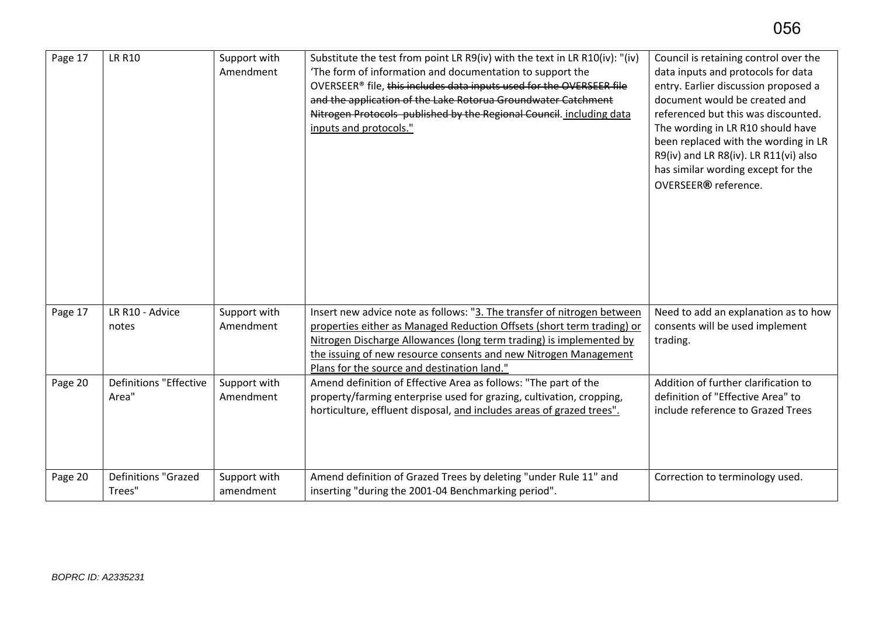| Page 17 | <b>LR R10</b>                          | Support with<br>Amendment | Substitute the test from point LR R9(iv) with the text in LR R10(iv): "(iv)<br>The form of information and documentation to support the<br>OVERSEER® file, this includes data inputs used for the OVERSEER file<br>and the application of the Lake Rotorua Groundwater Catchment<br>Nitrogen Protocols published by the Regional Council. including data<br>inputs and protocols." | Council is retaining control over the<br>data inputs and protocols for data<br>entry. Earlier discussion proposed a<br>document would be created and<br>referenced but this was discounted.<br>The wording in LR R10 should have<br>been replaced with the wording in LR<br>R9(iv) and LR R8(iv). LR R11(vi) also<br>has similar wording except for the<br>OVERSEER® reference. |
|---------|----------------------------------------|---------------------------|------------------------------------------------------------------------------------------------------------------------------------------------------------------------------------------------------------------------------------------------------------------------------------------------------------------------------------------------------------------------------------|---------------------------------------------------------------------------------------------------------------------------------------------------------------------------------------------------------------------------------------------------------------------------------------------------------------------------------------------------------------------------------|
| Page 17 | LR R10 - Advice<br>notes               | Support with<br>Amendment | Insert new advice note as follows: "3. The transfer of nitrogen between<br>properties either as Managed Reduction Offsets (short term trading) or<br>Nitrogen Discharge Allowances (long term trading) is implemented by<br>the issuing of new resource consents and new Nitrogen Management<br>Plans for the source and destination land."                                        | Need to add an explanation as to how<br>consents will be used implement<br>trading.                                                                                                                                                                                                                                                                                             |
| Page 20 | <b>Definitions "Effective</b><br>Area" | Support with<br>Amendment | Amend definition of Effective Area as follows: "The part of the<br>property/farming enterprise used for grazing, cultivation, cropping,<br>horticulture, effluent disposal, and includes areas of grazed trees".                                                                                                                                                                   | Addition of further clarification to<br>definition of "Effective Area" to<br>include reference to Grazed Trees                                                                                                                                                                                                                                                                  |
| Page 20 | <b>Definitions "Grazed</b><br>Trees"   | Support with<br>amendment | Amend definition of Grazed Trees by deleting "under Rule 11" and<br>inserting "during the 2001-04 Benchmarking period".                                                                                                                                                                                                                                                            | Correction to terminology used.                                                                                                                                                                                                                                                                                                                                                 |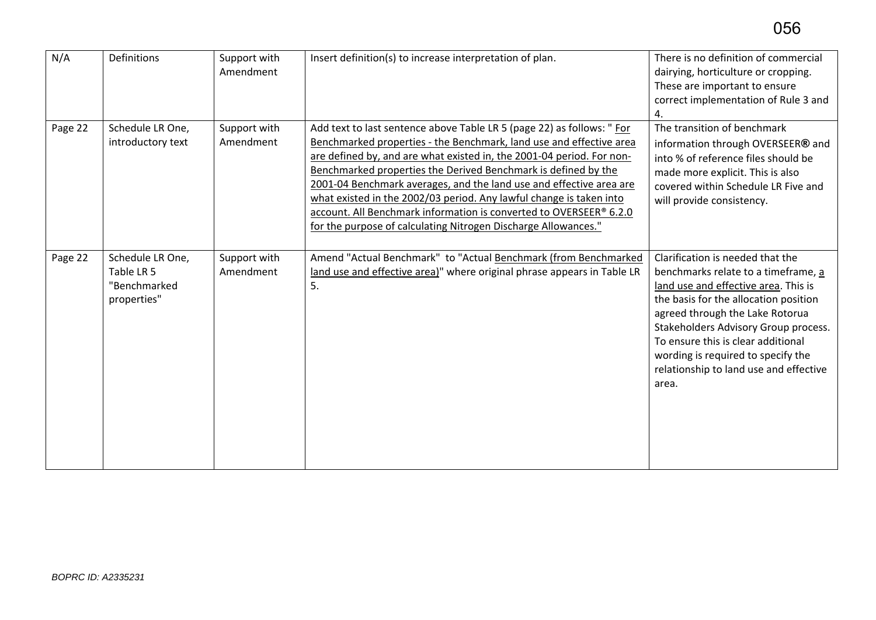| N/A     | Definitions                                                   | Support with<br>Amendment | Insert definition(s) to increase interpretation of plan.                                                                                                                                                                                                                                                                                                                                                                                                                                                                                                                       | There is no definition of commercial<br>dairying, horticulture or cropping.<br>These are important to ensure<br>correct implementation of Rule 3 and<br>4.                                                                                                                                                                                                         |
|---------|---------------------------------------------------------------|---------------------------|--------------------------------------------------------------------------------------------------------------------------------------------------------------------------------------------------------------------------------------------------------------------------------------------------------------------------------------------------------------------------------------------------------------------------------------------------------------------------------------------------------------------------------------------------------------------------------|--------------------------------------------------------------------------------------------------------------------------------------------------------------------------------------------------------------------------------------------------------------------------------------------------------------------------------------------------------------------|
| Page 22 | Schedule LR One,<br>introductory text                         | Support with<br>Amendment | Add text to last sentence above Table LR 5 (page 22) as follows: " For<br>Benchmarked properties - the Benchmark, land use and effective area<br>are defined by, and are what existed in, the 2001-04 period. For non-<br>Benchmarked properties the Derived Benchmark is defined by the<br>2001-04 Benchmark averages, and the land use and effective area are<br>what existed in the 2002/03 period. Any lawful change is taken into<br>account. All Benchmark information is converted to OVERSEER® 6.2.0<br>for the purpose of calculating Nitrogen Discharge Allowances." | The transition of benchmark<br>information through OVERSEER® and<br>into % of reference files should be<br>made more explicit. This is also<br>covered within Schedule LR Five and<br>will provide consistency.                                                                                                                                                    |
| Page 22 | Schedule LR One,<br>Table LR 5<br>"Benchmarked<br>properties" | Support with<br>Amendment | Amend "Actual Benchmark" to "Actual Benchmark (from Benchmarked<br>land use and effective area)" where original phrase appears in Table LR<br>5.                                                                                                                                                                                                                                                                                                                                                                                                                               | Clarification is needed that the<br>benchmarks relate to a timeframe, a<br>land use and effective area. This is<br>the basis for the allocation position<br>agreed through the Lake Rotorua<br>Stakeholders Advisory Group process.<br>To ensure this is clear additional<br>wording is required to specify the<br>relationship to land use and effective<br>area. |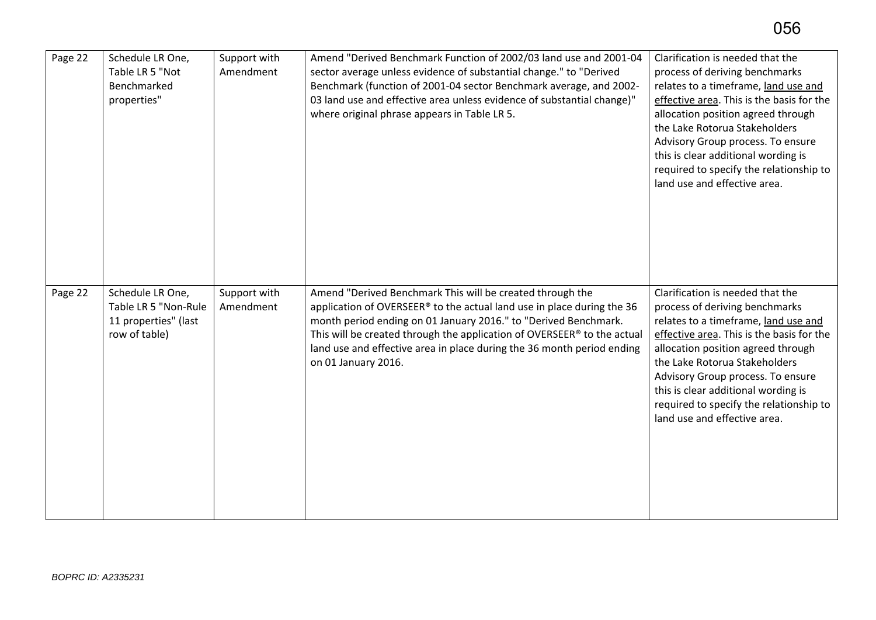| Page 22 | Schedule LR One,<br>Table LR 5 "Not<br>Benchmarked<br>properties"                 | Support with<br>Amendment | Amend "Derived Benchmark Function of 2002/03 land use and 2001-04<br>sector average unless evidence of substantial change." to "Derived<br>Benchmark (function of 2001-04 sector Benchmark average, and 2002-<br>03 land use and effective area unless evidence of substantial change)"<br>where original phrase appears in Table LR 5.                                            | Clarification is needed that the<br>process of deriving benchmarks<br>relates to a timeframe, land use and<br>effective area. This is the basis for the<br>allocation position agreed through<br>the Lake Rotorua Stakeholders<br>Advisory Group process. To ensure<br>this is clear additional wording is<br>required to specify the relationship to<br>land use and effective area. |
|---------|-----------------------------------------------------------------------------------|---------------------------|------------------------------------------------------------------------------------------------------------------------------------------------------------------------------------------------------------------------------------------------------------------------------------------------------------------------------------------------------------------------------------|---------------------------------------------------------------------------------------------------------------------------------------------------------------------------------------------------------------------------------------------------------------------------------------------------------------------------------------------------------------------------------------|
| Page 22 | Schedule LR One,<br>Table LR 5 "Non-Rule<br>11 properties" (last<br>row of table) | Support with<br>Amendment | Amend "Derived Benchmark This will be created through the<br>application of OVERSEER® to the actual land use in place during the 36<br>month period ending on 01 January 2016." to "Derived Benchmark.<br>This will be created through the application of OVERSEER® to the actual<br>land use and effective area in place during the 36 month period ending<br>on 01 January 2016. | Clarification is needed that the<br>process of deriving benchmarks<br>relates to a timeframe, land use and<br>effective area. This is the basis for the<br>allocation position agreed through<br>the Lake Rotorua Stakeholders<br>Advisory Group process. To ensure<br>this is clear additional wording is<br>required to specify the relationship to<br>land use and effective area. |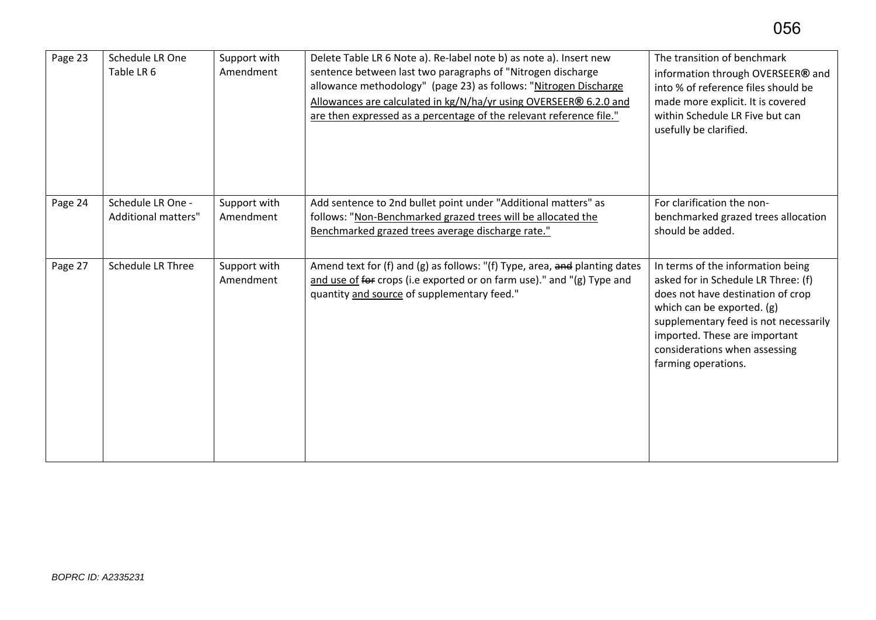| Page 23 | Schedule LR One<br>Table LR 6                   | Support with<br>Amendment | Delete Table LR 6 Note a). Re-label note b) as note a). Insert new<br>sentence between last two paragraphs of "Nitrogen discharge<br>allowance methodology" (page 23) as follows: "Nitrogen Discharge<br>Allowances are calculated in kg/N/ha/yr using OVERSEER® 6.2.0 and<br>are then expressed as a percentage of the relevant reference file." | The transition of benchmark<br>information through OVERSEER® and<br>into % of reference files should be<br>made more explicit. It is covered<br>within Schedule LR Five but can<br>usefully be clarified.                                                                     |
|---------|-------------------------------------------------|---------------------------|---------------------------------------------------------------------------------------------------------------------------------------------------------------------------------------------------------------------------------------------------------------------------------------------------------------------------------------------------|-------------------------------------------------------------------------------------------------------------------------------------------------------------------------------------------------------------------------------------------------------------------------------|
| Page 24 | Schedule LR One -<br><b>Additional matters"</b> | Support with<br>Amendment | Add sentence to 2nd bullet point under "Additional matters" as<br>follows: "Non-Benchmarked grazed trees will be allocated the<br>Benchmarked grazed trees average discharge rate."                                                                                                                                                               | For clarification the non-<br>benchmarked grazed trees allocation<br>should be added.                                                                                                                                                                                         |
| Page 27 | <b>Schedule LR Three</b>                        | Support with<br>Amendment | Amend text for (f) and (g) as follows: "(f) Type, area, and planting dates<br>and use of for crops (i.e exported or on farm use)." and "(g) Type and<br>quantity and source of supplementary feed."                                                                                                                                               | In terms of the information being<br>asked for in Schedule LR Three: (f)<br>does not have destination of crop<br>which can be exported. (g)<br>supplementary feed is not necessarily<br>imported. These are important<br>considerations when assessing<br>farming operations. |